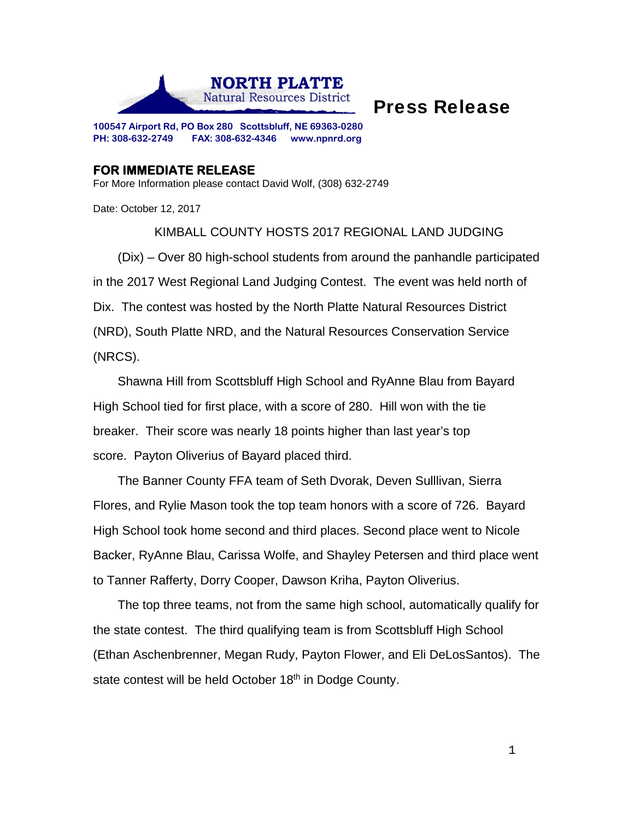

## Press Release

**100547 Airport Rd, PO Box 280 Scottsbluff, NE 69363-0280 PH: 308-632-2749 FAX: 308-632-4346 www.npnrd.org** 

## **FOR IMMEDIATE RELEASE**

For More Information please contact David Wolf, (308) 632-2749

Date: October 12, 2017

KIMBALL COUNTY HOSTS 2017 REGIONAL LAND JUDGING (Dix) – Over 80 high-school students from around the panhandle participated in the 2017 West Regional Land Judging Contest. The event was held north of Dix. The contest was hosted by the North Platte Natural Resources District (NRD), South Platte NRD, and the Natural Resources Conservation Service (NRCS).

Shawna Hill from Scottsbluff High School and RyAnne Blau from Bayard High School tied for first place, with a score of 280. Hill won with the tie breaker. Their score was nearly 18 points higher than last year's top score. Payton Oliverius of Bayard placed third.

The Banner County FFA team of Seth Dvorak, Deven Sulllivan, Sierra Flores, and Rylie Mason took the top team honors with a score of 726. Bayard High School took home second and third places. Second place went to Nicole Backer, RyAnne Blau, Carissa Wolfe, and Shayley Petersen and third place went to Tanner Rafferty, Dorry Cooper, Dawson Kriha, Payton Oliverius.

The top three teams, not from the same high school, automatically qualify for the state contest. The third qualifying team is from Scottsbluff High School (Ethan Aschenbrenner, Megan Rudy, Payton Flower, and Eli DeLosSantos). The state contest will be held October 18<sup>th</sup> in Dodge County.